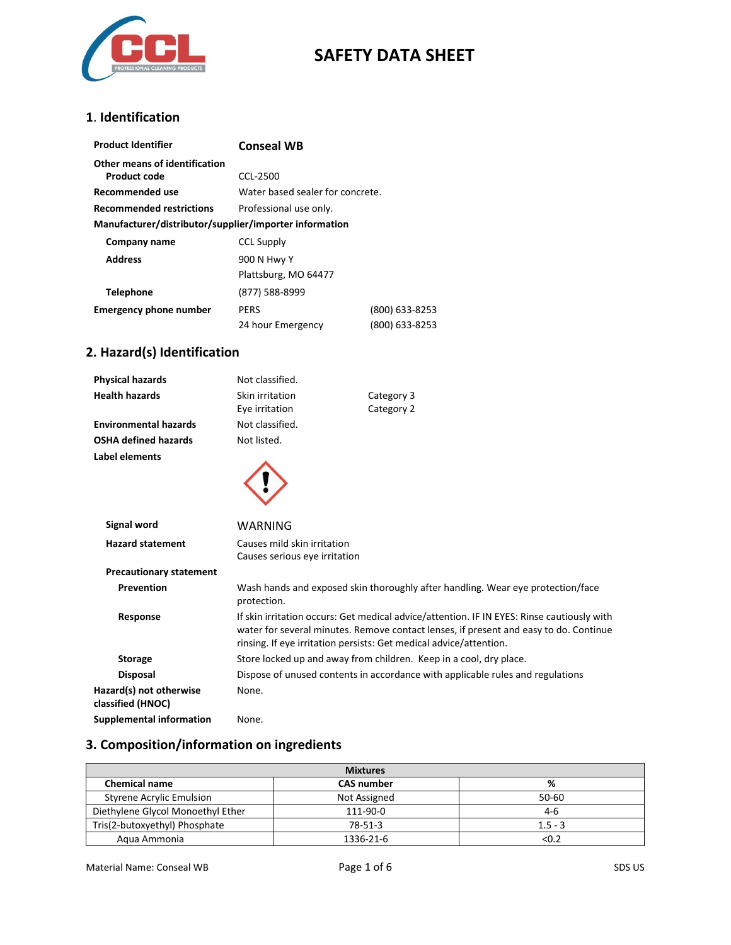

#### **1**. **Identification**

| <b>Product Identifier</b>                              | <b>Conseal WB</b>                |                |
|--------------------------------------------------------|----------------------------------|----------------|
| Other means of identification                          |                                  |                |
| Product code                                           | CCL-2500                         |                |
| Recommended use                                        | Water based sealer for concrete. |                |
| <b>Recommended restrictions</b>                        | Professional use only.           |                |
| Manufacturer/distributor/supplier/importer information |                                  |                |
| Company name                                           | <b>CCL Supply</b>                |                |
| <b>Address</b>                                         | 900 N Hwy Y                      |                |
|                                                        | Plattsburg, MO 64477             |                |
| <b>Telephone</b>                                       | (877) 588-8999                   |                |
| <b>Emergency phone number</b>                          | <b>PERS</b>                      | (800) 633-8253 |
|                                                        | 24 hour Emergency                | (800) 633-8253 |

## **2. Hazard(s) Identification**

| <b>Physical hazards</b>                      | Not classified.                                              |                                                                                                                                                                                                                                                           |
|----------------------------------------------|--------------------------------------------------------------|-----------------------------------------------------------------------------------------------------------------------------------------------------------------------------------------------------------------------------------------------------------|
| <b>Health hazards</b>                        | Skin irritation                                              | Category 3                                                                                                                                                                                                                                                |
|                                              | Eye irritation                                               | Category 2                                                                                                                                                                                                                                                |
| <b>Environmental hazards</b>                 | Not classified.                                              |                                                                                                                                                                                                                                                           |
| <b>OSHA defined hazards</b>                  | Not listed.                                                  |                                                                                                                                                                                                                                                           |
| Label elements                               |                                                              |                                                                                                                                                                                                                                                           |
| <b>Signal word</b>                           | WARNING                                                      |                                                                                                                                                                                                                                                           |
| <b>Hazard statement</b>                      | Causes mild skin irritation<br>Causes serious eye irritation |                                                                                                                                                                                                                                                           |
| <b>Precautionary statement</b>               |                                                              |                                                                                                                                                                                                                                                           |
| Prevention                                   | protection.                                                  | Wash hands and exposed skin thoroughly after handling. Wear eye protection/face                                                                                                                                                                           |
| Response                                     |                                                              | If skin irritation occurs: Get medical advice/attention. IF IN EYES: Rinse cautiously with<br>water for several minutes. Remove contact lenses, if present and easy to do. Continue<br>rinsing. If eye irritation persists: Get medical advice/attention. |
| <b>Storage</b>                               |                                                              | Store locked up and away from children. Keep in a cool, dry place.                                                                                                                                                                                        |
| <b>Disposal</b>                              |                                                              | Dispose of unused contents in accordance with applicable rules and regulations                                                                                                                                                                            |
| Hazard(s) not otherwise<br>classified (HNOC) | None.                                                        |                                                                                                                                                                                                                                                           |
| Supplemental information                     | None.                                                        |                                                                                                                                                                                                                                                           |

## **3. Composition/information on ingredients**

| <b>Mixtures</b>                   |                   |           |
|-----------------------------------|-------------------|-----------|
| <b>Chemical name</b>              | <b>CAS number</b> | %         |
| <b>Styrene Acrylic Emulsion</b>   | Not Assigned      | $50 - 60$ |
| Diethylene Glycol Monoethyl Ether | 111-90-0          | $4-6$     |
| Tris(2-butoxyethyl) Phosphate     | 78-51-3           | $1.5 - 3$ |
| Agua Ammonia                      | 1336-21-6         | < 0.2     |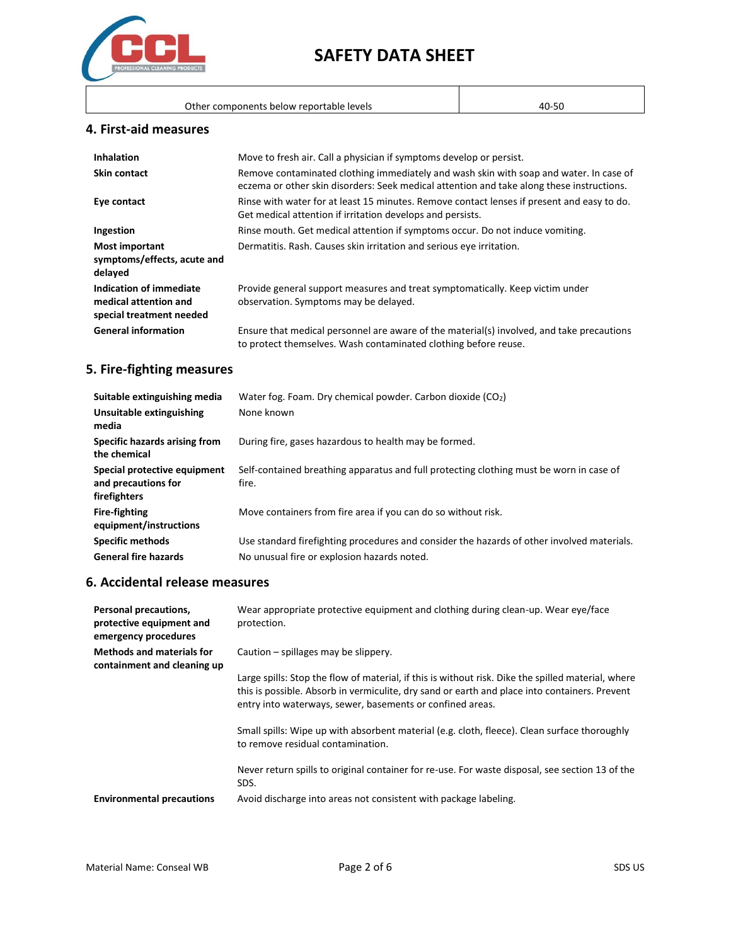

| Other components below reportable levels | 40-50 |
|------------------------------------------|-------|
|------------------------------------------|-------|

 $\mathsf{I}$ 

#### **4. First-aid measures**

| <b>Inhalation</b>                                                            | Move to fresh air. Call a physician if symptoms develop or persist.                                                                                                                 |
|------------------------------------------------------------------------------|-------------------------------------------------------------------------------------------------------------------------------------------------------------------------------------|
| Skin contact                                                                 | Remove contaminated clothing immediately and wash skin with soap and water. In case of<br>eczema or other skin disorders: Seek medical attention and take along these instructions. |
| Eye contact                                                                  | Rinse with water for at least 15 minutes. Remove contact lenses if present and easy to do.<br>Get medical attention if irritation develops and persists.                            |
| Ingestion                                                                    | Rinse mouth. Get medical attention if symptoms occur. Do not induce vomiting.                                                                                                       |
| Most important<br>symptoms/effects, acute and<br>delayed                     | Dermatitis. Rash. Causes skin irritation and serious eye irritation.                                                                                                                |
| Indication of immediate<br>medical attention and<br>special treatment needed | Provide general support measures and treat symptomatically. Keep victim under<br>observation. Symptoms may be delayed.                                                              |
| <b>General information</b>                                                   | Ensure that medical personnel are aware of the material(s) involved, and take precautions<br>to protect themselves. Wash contaminated clothing before reuse.                        |

## **5. Fire-fighting measures**

| Suitable extinguishing media                                        | Water fog. Foam. Dry chemical powder. Carbon dioxide $(CO2)$                                     |
|---------------------------------------------------------------------|--------------------------------------------------------------------------------------------------|
| Unsuitable extinguishing<br>media                                   | None known                                                                                       |
| Specific hazards arising from<br>the chemical                       | During fire, gases hazardous to health may be formed.                                            |
| Special protective equipment<br>and precautions for<br>firefighters | Self-contained breathing apparatus and full protecting clothing must be worn in case of<br>fire. |
| <b>Fire-fighting</b><br>equipment/instructions                      | Move containers from fire area if you can do so without risk.                                    |
| <b>Specific methods</b>                                             | Use standard firefighting procedures and consider the hazards of other involved materials.       |
| <b>General fire hazards</b>                                         | No unusual fire or explosion hazards noted.                                                      |

## **6. Accidental release measures**

| Personal precautions,<br>protective equipment and<br>emergency procedures | Wear appropriate protective equipment and clothing during clean-up. Wear eye/face<br>protection.                                                                                                                                                                 |
|---------------------------------------------------------------------------|------------------------------------------------------------------------------------------------------------------------------------------------------------------------------------------------------------------------------------------------------------------|
| <b>Methods and materials for</b><br>containment and cleaning up           | Caution – spillages may be slippery.                                                                                                                                                                                                                             |
|                                                                           | Large spills: Stop the flow of material, if this is without risk. Dike the spilled material, where<br>this is possible. Absorb in vermiculite, dry sand or earth and place into containers. Prevent<br>entry into waterways, sewer, basements or confined areas. |
|                                                                           | Small spills: Wipe up with absorbent material (e.g. cloth, fleece). Clean surface thoroughly<br>to remove residual contamination.                                                                                                                                |
|                                                                           | Never return spills to original container for re-use. For waste disposal, see section 13 of the<br>SDS.                                                                                                                                                          |
| <b>Environmental precautions</b>                                          | Avoid discharge into areas not consistent with package labeling.                                                                                                                                                                                                 |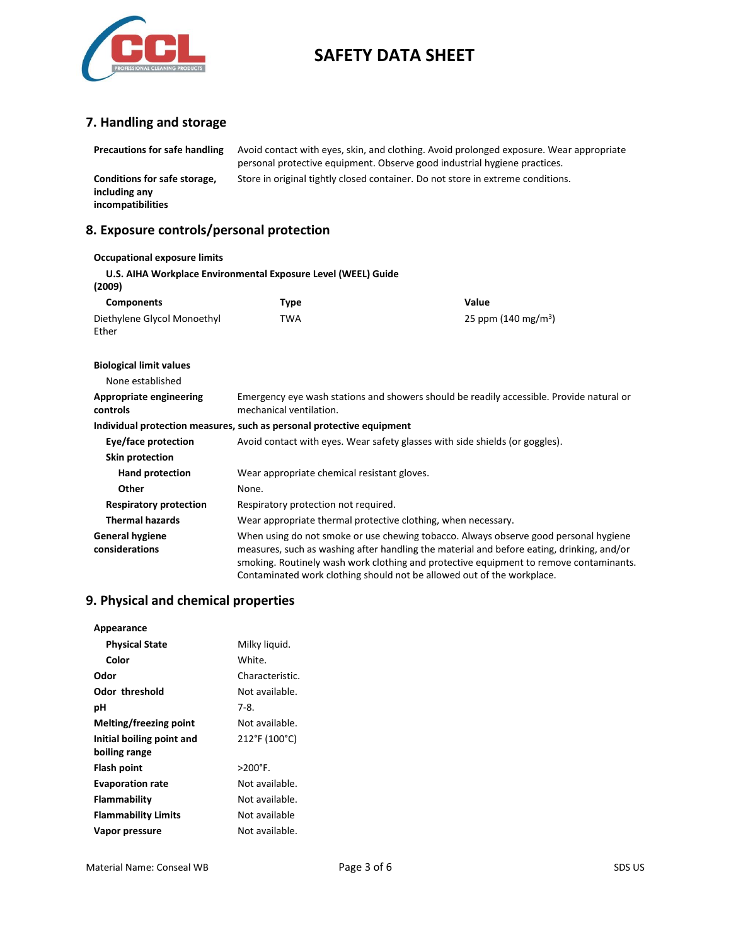

## **7. Handling and storage**

| <b>Precautions for safe handling</b>                               | Avoid contact with eyes, skin, and clothing. Avoid prolonged exposure. Wear appropriate<br>personal protective equipment. Observe good industrial hygiene practices. |                                                                                                                                                                                                                                                                                                                                                       |
|--------------------------------------------------------------------|----------------------------------------------------------------------------------------------------------------------------------------------------------------------|-------------------------------------------------------------------------------------------------------------------------------------------------------------------------------------------------------------------------------------------------------------------------------------------------------------------------------------------------------|
| Conditions for safe storage,<br>including any<br>incompatibilities | Store in original tightly closed container. Do not store in extreme conditions.                                                                                      |                                                                                                                                                                                                                                                                                                                                                       |
| 8. Exposure controls/personal protection                           |                                                                                                                                                                      |                                                                                                                                                                                                                                                                                                                                                       |
| <b>Occupational exposure limits</b>                                |                                                                                                                                                                      |                                                                                                                                                                                                                                                                                                                                                       |
| (2009)                                                             | U.S. AIHA Workplace Environmental Exposure Level (WEEL) Guide                                                                                                        |                                                                                                                                                                                                                                                                                                                                                       |
| <b>Components</b>                                                  | <b>Type</b>                                                                                                                                                          | Value                                                                                                                                                                                                                                                                                                                                                 |
| Diethylene Glycol Monoethyl<br>Ether                               | <b>TWA</b>                                                                                                                                                           | 25 ppm $(140 \text{ mg/m}^3)$                                                                                                                                                                                                                                                                                                                         |
| <b>Biological limit values</b>                                     |                                                                                                                                                                      |                                                                                                                                                                                                                                                                                                                                                       |
| None established                                                   |                                                                                                                                                                      |                                                                                                                                                                                                                                                                                                                                                       |
| <b>Appropriate engineering</b><br>controls                         | Emergency eye wash stations and showers should be readily accessible. Provide natural or<br>mechanical ventilation.                                                  |                                                                                                                                                                                                                                                                                                                                                       |
|                                                                    | Individual protection measures, such as personal protective equipment                                                                                                |                                                                                                                                                                                                                                                                                                                                                       |
| Eye/face protection                                                |                                                                                                                                                                      | Avoid contact with eyes. Wear safety glasses with side shields (or goggles).                                                                                                                                                                                                                                                                          |
| Skin protection                                                    |                                                                                                                                                                      |                                                                                                                                                                                                                                                                                                                                                       |
| <b>Hand protection</b>                                             | Wear appropriate chemical resistant gloves.                                                                                                                          |                                                                                                                                                                                                                                                                                                                                                       |
| Other                                                              | None.                                                                                                                                                                |                                                                                                                                                                                                                                                                                                                                                       |
| <b>Respiratory protection</b>                                      | Respiratory protection not required.                                                                                                                                 |                                                                                                                                                                                                                                                                                                                                                       |
| <b>Thermal hazards</b>                                             | Wear appropriate thermal protective clothing, when necessary.                                                                                                        |                                                                                                                                                                                                                                                                                                                                                       |
| <b>General hygiene</b><br>considerations                           |                                                                                                                                                                      | When using do not smoke or use chewing tobacco. Always observe good personal hygiene<br>measures, such as washing after handling the material and before eating, drinking, and/or<br>smoking. Routinely wash work clothing and protective equipment to remove contaminants.<br>Contaminated work clothing should not be allowed out of the workplace. |

# **9. Physical and chemical properties**

| Appearance                                 |                   |
|--------------------------------------------|-------------------|
| <b>Physical State</b>                      | Milky liguid.     |
| Color                                      | White.            |
| Odor                                       | Characteristic.   |
| <b>Odor threshold</b>                      | Not available.    |
| рH                                         | 7-8.              |
| Melting/freezing point                     | Not available.    |
| Initial boiling point and<br>boiling range | 212°F (100°C)     |
| Flash point                                | $>200^{\circ}$ F. |
| <b>Evaporation rate</b>                    | Not available.    |
| Flammability                               | Not available.    |
| <b>Flammability Limits</b>                 | Not available     |
| Vapor pressure                             | Not available.    |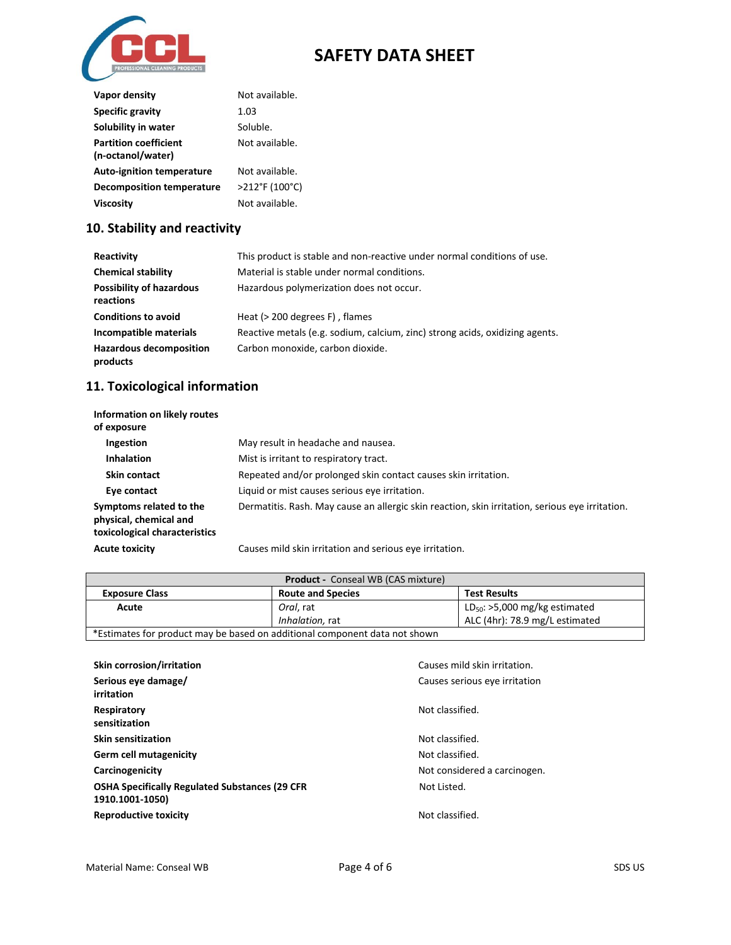

| Vapor density                    | Not available. |
|----------------------------------|----------------|
| <b>Specific gravity</b>          | 1.03           |
| Solubility in water              | Soluble.       |
| <b>Partition coefficient</b>     | Not available. |
| (n-octanol/water)                |                |
| <b>Auto-ignition temperature</b> | Not available. |
| <b>Decomposition temperature</b> | >212°F (100°C) |
| Viscosity                        | Not available. |

## **10. Stability and reactivity**

| Reactivity                                   | This product is stable and non-reactive under normal conditions of use.      |
|----------------------------------------------|------------------------------------------------------------------------------|
| <b>Chemical stability</b>                    | Material is stable under normal conditions.                                  |
| <b>Possibility of hazardous</b><br>reactions | Hazardous polymerization does not occur.                                     |
| <b>Conditions to avoid</b>                   | Heat $(> 200$ degrees $F)$ , flames                                          |
| Incompatible materials                       | Reactive metals (e.g. sodium, calcium, zinc) strong acids, oxidizing agents. |
| <b>Hazardous decomposition</b><br>products   | Carbon monoxide, carbon dioxide.                                             |

#### **11. Toxicological information**

| Information on likely routes<br>of exposure                                        |                                                                                                 |
|------------------------------------------------------------------------------------|-------------------------------------------------------------------------------------------------|
| Ingestion                                                                          | May result in headache and nausea.                                                              |
| <b>Inhalation</b>                                                                  | Mist is irritant to respiratory tract.                                                          |
| <b>Skin contact</b>                                                                | Repeated and/or prolonged skin contact causes skin irritation.                                  |
| Eye contact                                                                        | Liquid or mist causes serious eye irritation.                                                   |
| Symptoms related to the<br>physical, chemical and<br>toxicological characteristics | Dermatitis. Rash. May cause an allergic skin reaction, skin irritation, serious eye irritation. |
| <b>Acute toxicity</b>                                                              | Causes mild skin irritation and serious eye irritation.                                         |

| <b>Product - Conseal WB (CAS mixture)</b>                                  |                          |                                    |
|----------------------------------------------------------------------------|--------------------------|------------------------------------|
| <b>Exposure Class</b>                                                      | <b>Route and Species</b> | <b>Test Results</b>                |
| Acute                                                                      | Oral. rat                | $LD_{50}$ : >5,000 mg/kg estimated |
|                                                                            | Inhalation, rat          | ALC (4hr): 78.9 mg/L estimated     |
| *Estimates for product may be based on additional component data not shown |                          |                                    |

| <b>Skin corrosion/irritation</b><br>Serious eye damage/<br>irritation     | Causes mild skin irritation.<br>Causes serious eye irritation |
|---------------------------------------------------------------------------|---------------------------------------------------------------|
| Respiratory<br>sensitization                                              | Not classified.                                               |
| <b>Skin sensitization</b>                                                 | Not classified.                                               |
| Germ cell mutagenicity                                                    | Not classified.                                               |
| Carcinogenicity                                                           | Not considered a carcinogen.                                  |
| <b>OSHA Specifically Regulated Substances (29 CFR)</b><br>1910.1001-1050) | Not Listed.                                                   |
| <b>Reproductive toxicity</b>                                              | Not classified.                                               |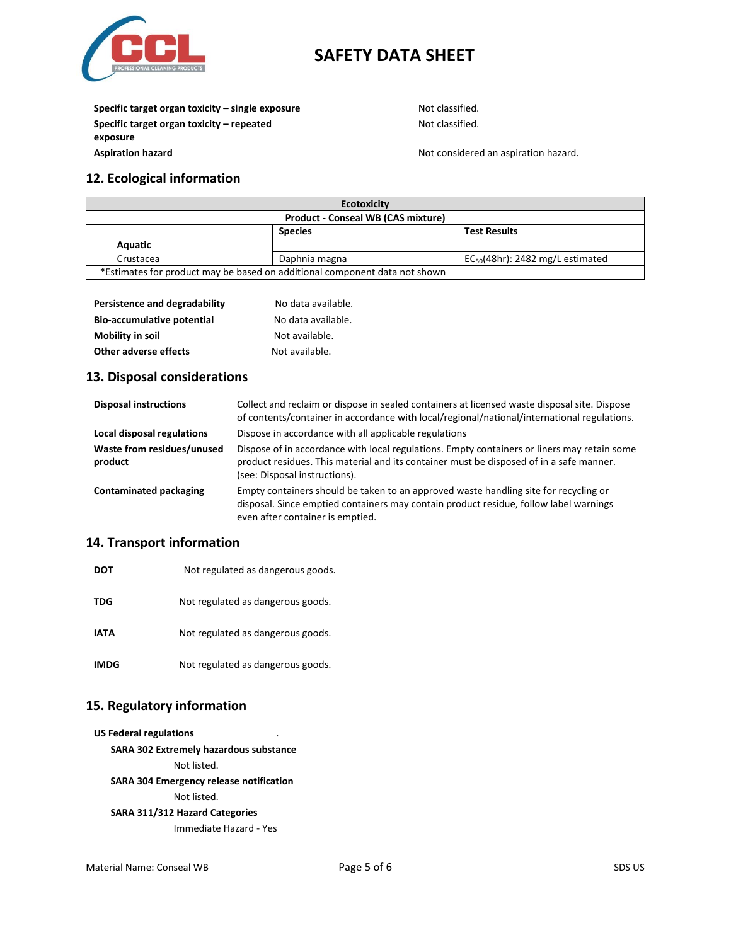

**Specific target organ toxicity – single exposure** Not classified. **Specific target organ toxicity – repeated exposure Aspiration hazard Aspiration hazard.** Not considered an aspiration hazard.

Not classified.

#### **12. Ecological information**

| <b>Ecotoxicity</b>                                                         |                |                                       |
|----------------------------------------------------------------------------|----------------|---------------------------------------|
| <b>Product - Conseal WB (CAS mixture)</b>                                  |                |                                       |
|                                                                            | <b>Species</b> | <b>Test Results</b>                   |
| Aquatic                                                                    |                |                                       |
| Crustacea                                                                  | Daphnia magna  | $EC_{50}(48hr)$ : 2482 mg/L estimated |
| *Estimates for product may be based on additional component data not shown |                |                                       |

| Persistence and degradability     | No data available. |
|-----------------------------------|--------------------|
| <b>Bio-accumulative potential</b> | No data available. |
| <b>Mobility in soil</b>           | Not available.     |
| Other adverse effects             | Not available.     |

#### **13. Disposal considerations**

| <b>Disposal instructions</b>          | Collect and reclaim or dispose in sealed containers at licensed waste disposal site. Dispose<br>of contents/container in accordance with local/regional/national/international regulations.                             |
|---------------------------------------|-------------------------------------------------------------------------------------------------------------------------------------------------------------------------------------------------------------------------|
| Local disposal regulations            | Dispose in accordance with all applicable regulations                                                                                                                                                                   |
| Waste from residues/unused<br>product | Dispose of in accordance with local regulations. Empty containers or liners may retain some<br>product residues. This material and its container must be disposed of in a safe manner.<br>(see: Disposal instructions). |
| Contaminated packaging                | Empty containers should be taken to an approved waste handling site for recycling or<br>disposal. Since emptied containers may contain product residue, follow label warnings<br>even after container is emptied.       |

#### **14. Transport information**

| <b>DOT</b>  | Not regulated as dangerous goods. |
|-------------|-----------------------------------|
| <b>TDG</b>  | Not regulated as dangerous goods. |
| <b>IATA</b> | Not regulated as dangerous goods. |
| <b>IMDG</b> | Not regulated as dangerous goods. |

#### **15. Regulatory information**

**US Federal regulations** .

**SARA 302 Extremely hazardous substance**

Not listed.

**SARA 304 Emergency release notification**

Not listed.

#### **SARA 311/312 Hazard Categories**

Immediate Hazard - Yes